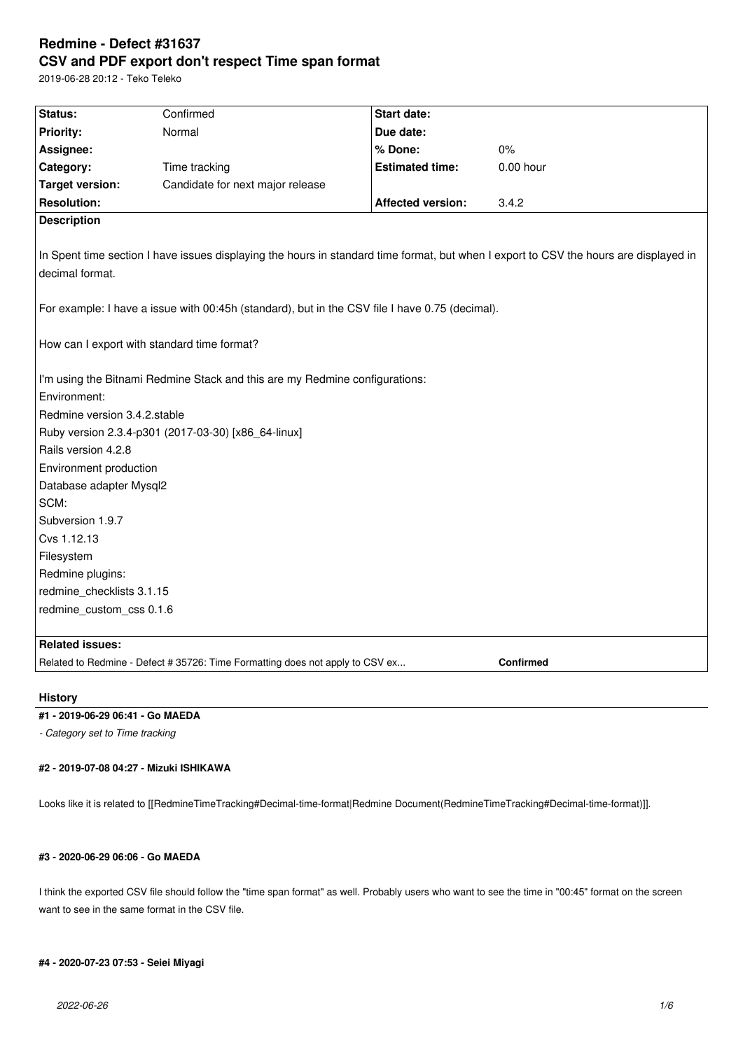# **Redmine - Defect #31637 CSV and PDF export don't respect Time span format**

2019-06-28 20:12 - Teko Teleko

| Status:                                                                                                                                                  | Confirmed                        | <b>Start date:</b>       |           |
|----------------------------------------------------------------------------------------------------------------------------------------------------------|----------------------------------|--------------------------|-----------|
| <b>Priority:</b>                                                                                                                                         | Normal                           | Due date:                |           |
| Assignee:                                                                                                                                                |                                  | % Done:                  | $0\%$     |
| Category:                                                                                                                                                | Time tracking                    | <b>Estimated time:</b>   | 0.00 hour |
| <b>Target version:</b>                                                                                                                                   | Candidate for next major release |                          |           |
| <b>Resolution:</b>                                                                                                                                       |                                  | <b>Affected version:</b> | 3.4.2     |
| <b>Description</b>                                                                                                                                       |                                  |                          |           |
| In Spent time section I have issues displaying the hours in standard time format, but when I export to CSV the hours are displayed in<br>decimal format. |                                  |                          |           |
| For example: I have a issue with 00:45h (standard), but in the CSV file I have 0.75 (decimal).                                                           |                                  |                          |           |
| How can I export with standard time format?                                                                                                              |                                  |                          |           |
| I'm using the Bitnami Redmine Stack and this are my Redmine configurations:                                                                              |                                  |                          |           |
| Environment:                                                                                                                                             |                                  |                          |           |
| Redmine version 3.4.2.stable                                                                                                                             |                                  |                          |           |
| Ruby version 2.3.4-p301 (2017-03-30) [x86_64-linux]                                                                                                      |                                  |                          |           |
| Rails version 4.2.8                                                                                                                                      |                                  |                          |           |
| Environment production                                                                                                                                   |                                  |                          |           |
| Database adapter Mysql2                                                                                                                                  |                                  |                          |           |
| SCM:                                                                                                                                                     |                                  |                          |           |
| Subversion 1.9.7                                                                                                                                         |                                  |                          |           |
| Cvs 1.12.13                                                                                                                                              |                                  |                          |           |
| Filesystem                                                                                                                                               |                                  |                          |           |
| Redmine plugins:                                                                                                                                         |                                  |                          |           |
| redmine checklists 3.1.15                                                                                                                                |                                  |                          |           |
| redmine_custom_css 0.1.6                                                                                                                                 |                                  |                          |           |
| <b>Related issues:</b>                                                                                                                                   |                                  |                          |           |
| Confirmed<br>Related to Redmine - Defect # 35726: Time Formatting does not apply to CSV ex                                                               |                                  |                          |           |

## **History**

## **#1 - 2019-06-29 06:41 - Go MAEDA**

*- Category set to Time tracking*

### **#2 - 2019-07-08 04:27 - Mizuki ISHIKAWA**

Looks like it is related to [[RedmineTimeTracking#Decimal-time-format|Redmine Document(RedmineTimeTracking#Decimal-time-format)]].

## **#3 - 2020-06-29 06:06 - Go MAEDA**

I think the exported CSV file should follow the "time span format" as well. Probably users who want to see the time in "00:45" format on the screen want to see in the same format in the CSV file.

## **#4 - 2020-07-23 07:53 - Seiei Miyagi**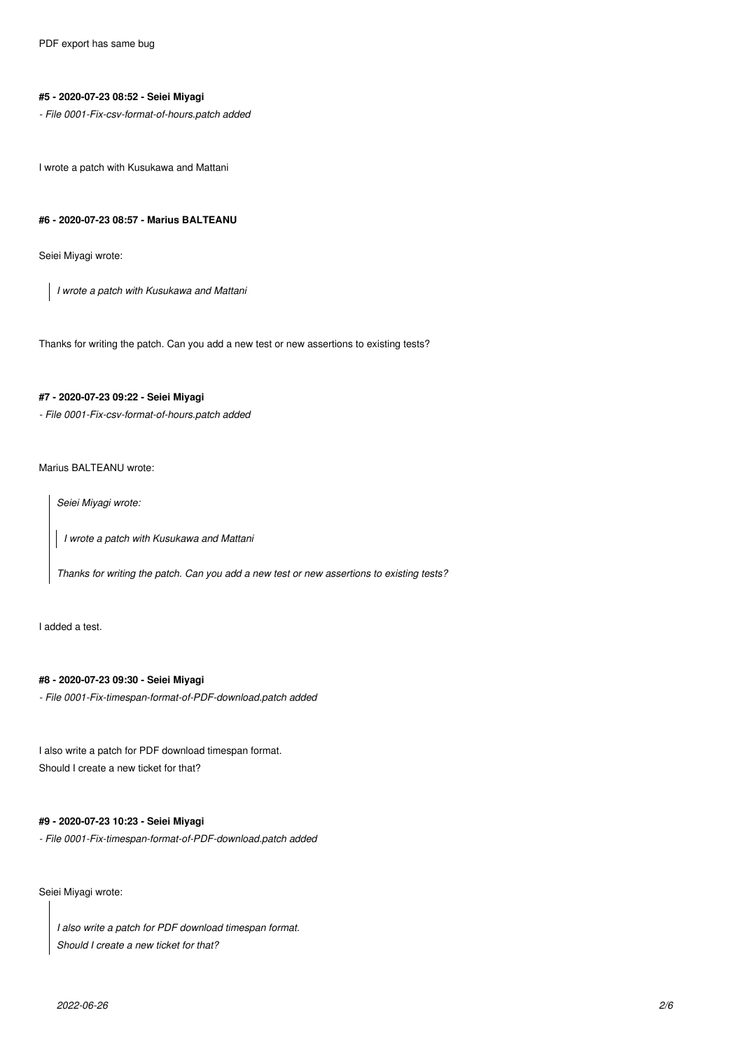#### **#5 - 2020-07-23 08:52 - Seiei Miyagi**

*- File 0001-Fix-csv-format-of-hours.patch added*

I wrote a patch with Kusukawa and Mattani

#### **#6 - 2020-07-23 08:57 - Marius BALTEANU**

Seiei Miyagi wrote:

*I wrote a patch with Kusukawa and Mattani*

Thanks for writing the patch. Can you add a new test or new assertions to existing tests?

## **#7 - 2020-07-23 09:22 - Seiei Miyagi**

*- File 0001-Fix-csv-format-of-hours.patch added*

## Marius BALTEANU wrote:

*Seiei Miyagi wrote:*

*I wrote a patch with Kusukawa and Mattani*

*Thanks for writing the patch. Can you add a new test or new assertions to existing tests?*

I added a test.

## **#8 - 2020-07-23 09:30 - Seiei Miyagi**

*- File 0001-Fix-timespan-format-of-PDF-download.patch added*

I also write a patch for PDF download timespan format. Should I create a new ticket for that?

## **#9 - 2020-07-23 10:23 - Seiei Miyagi**

*- File 0001-Fix-timespan-format-of-PDF-download.patch added*

Seiei Miyagi wrote:

*I also write a patch for PDF download timespan format. Should I create a new ticket for that?*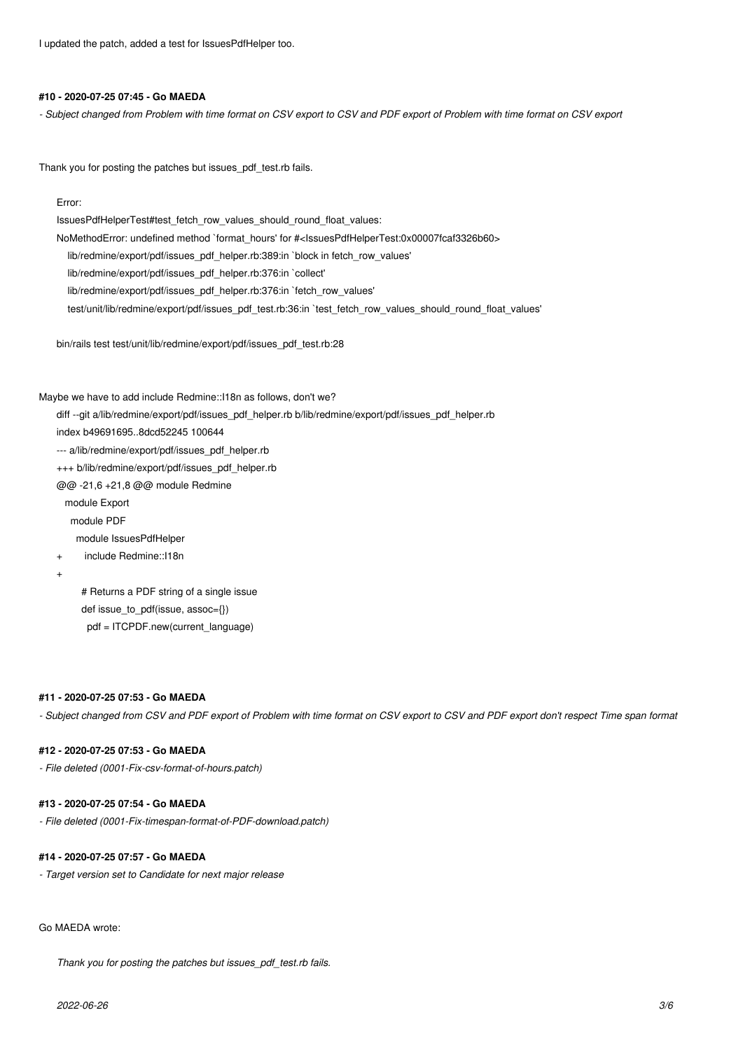I updated the patch, added a test for IssuesPdfHelper too.

#### **#10 - 2020-07-25 07:45 - Go MAEDA**

*- Subject changed from Problem with time format on CSV export to CSV and PDF export of Problem with time format on CSV export*

Thank you for posting the patches but issues\_pdf\_test.rb fails.

#### Error:

IssuesPdfHelperTest#test\_fetch\_row\_values\_should\_round\_float\_values: NoMethodError: undefined method `format\_hours' for #<IssuesPdfHelperTest:0x00007fcaf3326b60> lib/redmine/export/pdf/issues\_pdf\_helper.rb:389:in `block in fetch\_row\_values' lib/redmine/export/pdf/issues\_pdf\_helper.rb:376:in `collect' lib/redmine/export/pdf/issues\_pdf\_helper.rb:376:in `fetch\_row\_values' test/unit/lib/redmine/export/pdf/issues\_pdf\_test.rb:36:in `test\_fetch\_row\_values\_should\_round\_float\_values'

bin/rails test test/unit/lib/redmine/export/pdf/issues\_pdf\_test.rb:28

Maybe we have to add include Redmine::I18n as follows, don't we?

diff --git a/lib/redmine/export/pdf/issues\_pdf\_helper.rb b/lib/redmine/export/pdf/issues\_pdf\_helper.rb

- index b49691695..8dcd52245 100644
- --- a/lib/redmine/export/pdf/issues\_pdf\_helper.rb

+++ b/lib/redmine/export/pdf/issues\_pdf\_helper.rb

@@ -21,6 +21,8 @@ module Redmine

module Export

module PDF

module IssuesPdfHelper

include Redmine::I18n

+

 # Returns a PDF string of a single issue def issue to pdf(issue,  $assoc={}$ }) pdf = ITCPDF.new(current\_language)

#### **#11 - 2020-07-25 07:53 - Go MAEDA**

*- Subject changed from CSV and PDF export of Problem with time format on CSV export to CSV and PDF export don't respect Time span format*

## **#12 - 2020-07-25 07:53 - Go MAEDA**

*- File deleted (0001-Fix-csv-format-of-hours.patch)*

## **#13 - 2020-07-25 07:54 - Go MAEDA**

*- File deleted (0001-Fix-timespan-format-of-PDF-download.patch)*

## **#14 - 2020-07-25 07:57 - Go MAEDA**

*- Target version set to Candidate for next major release*

#### Go MAEDA wrote:

*Thank you for posting the patches but issues\_pdf\_test.rb fails.*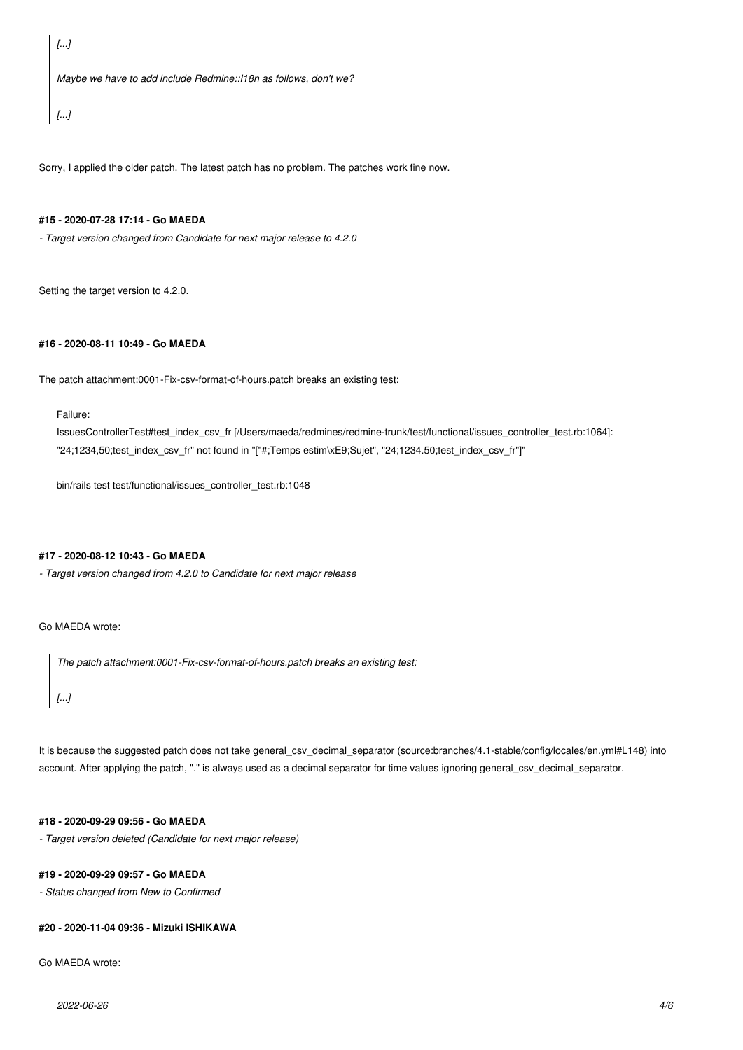*[...]*

*Maybe we have to add include Redmine::I18n as follows, don't we?*

*[...]*

Sorry, I applied the older patch. The latest patch has no problem. The patches work fine now.

## **#15 - 2020-07-28 17:14 - Go MAEDA**

*- Target version changed from Candidate for next major release to 4.2.0*

Setting the target version to 4.2.0.

#### **#16 - 2020-08-11 10:49 - Go MAEDA**

The patch attachment:0001-Fix-csv-format-of-hours.patch breaks an existing test:

Failure:

IssuesControllerTest#test\_index\_csv\_fr [/Users/maeda/redmines/redmine-trunk/test/functional/issues\_controller\_test.rb:1064]: "24;1234,50;test\_index\_csv\_fr" not found in "["#;Temps estim\xE9;Sujet", "24;1234.50;test\_index\_csv\_fr"]"

bin/rails test test/functional/issues\_controller\_test.rb:1048

## **#17 - 2020-08-12 10:43 - Go MAEDA**

*- Target version changed from 4.2.0 to Candidate for next major release*

Go MAEDA wrote:

*The patch attachment:0001-Fix-csv-format-of-hours.patch breaks an existing test:*

*[...]*

It is because the suggested patch does not take general\_csv\_decimal\_separator (source:branches/4.1-stable/config/locales/en.yml#L148) into account. After applying the patch, "." is always used as a decimal separator for time values ignoring general\_csv\_decimal\_separator.

## **#18 - 2020-09-29 09:56 - Go MAEDA**

*- Target version deleted (Candidate for next major release)*

#### **#19 - 2020-09-29 09:57 - Go MAEDA**

*- Status changed from New to Confirmed*

#### **#20 - 2020-11-04 09:36 - Mizuki ISHIKAWA**

Go MAEDA wrote: